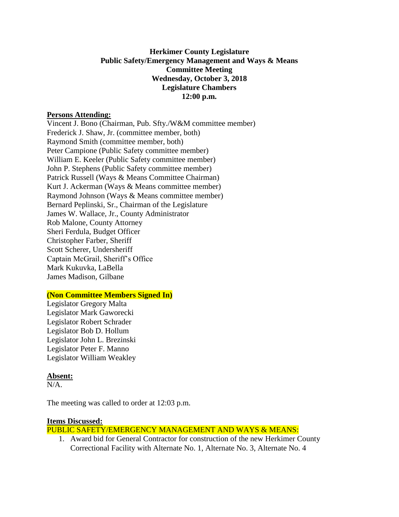## **Herkimer County Legislature Public Safety/Emergency Management and Ways & Means Committee Meeting Wednesday, October 3, 2018 Legislature Chambers 12:00 p.m.**

### **Persons Attending:**

Vincent J. Bono (Chairman, Pub. Sfty./W&M committee member) Frederick J. Shaw, Jr. (committee member, both) Raymond Smith (committee member, both) Peter Campione (Public Safety committee member) William E. Keeler (Public Safety committee member) John P. Stephens (Public Safety committee member) Patrick Russell (Ways & Means Committee Chairman) Kurt J. Ackerman (Ways & Means committee member) Raymond Johnson (Ways & Means committee member) Bernard Peplinski, Sr., Chairman of the Legislature James W. Wallace, Jr., County Administrator Rob Malone, County Attorney Sheri Ferdula, Budget Officer Christopher Farber, Sheriff Scott Scherer, Undersheriff Captain McGrail, Sheriff's Office Mark Kukuvka, LaBella James Madison, Gilbane

### **(Non Committee Members Signed In)**

Legislator Gregory Malta Legislator Mark Gaworecki Legislator Robert Schrader Legislator Bob D. Hollum Legislator John L. Brezinski Legislator Peter F. Manno Legislator William Weakley

#### **Absent:**

 $N/A$ 

The meeting was called to order at 12:03 p.m.

#### **Items Discussed:**

PUBLIC SAFETY/EMERGENCY MANAGEMENT AND WAYS & MEANS:

1. Award bid for General Contractor for construction of the new Herkimer County Correctional Facility with Alternate No. 1, Alternate No. 3, Alternate No. 4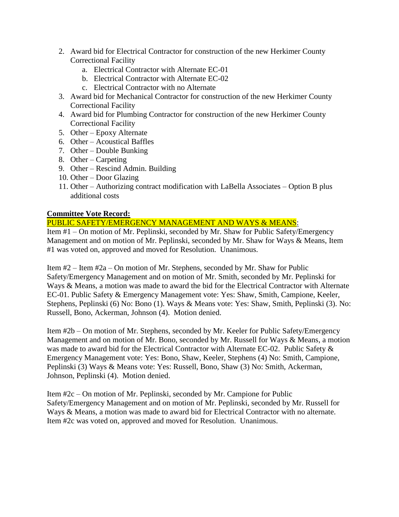- 2. Award bid for Electrical Contractor for construction of the new Herkimer County Correctional Facility
	- a. Electrical Contractor with Alternate EC-01
	- b. Electrical Contractor with Alternate EC-02
	- c. Electrical Contractor with no Alternate
- 3. Award bid for Mechanical Contractor for construction of the new Herkimer County Correctional Facility
- 4. Award bid for Plumbing Contractor for construction of the new Herkimer County Correctional Facility
- 5. Other Epoxy Alternate
- 6. Other Acoustical Baffles
- 7. Other Double Bunking
- 8. Other Carpeting
- 9. Other Rescind Admin. Building
- 10. Other Door Glazing
- 11. Other Authorizing contract modification with LaBella Associates Option B plus additional costs

# **Committee Vote Record:**

# PUBLIC SAFETY/EMERGENCY MANAGEMENT AND WAYS & MEANS:

Item #1 – On motion of Mr. Peplinski, seconded by Mr. Shaw for Public Safety/Emergency Management and on motion of Mr. Peplinski, seconded by Mr. Shaw for Ways & Means, Item #1 was voted on, approved and moved for Resolution. Unanimous.

Item #2 – Item #2a – On motion of Mr. Stephens, seconded by Mr. Shaw for Public Safety/Emergency Management and on motion of Mr. Smith, seconded by Mr. Peplinski for Ways & Means, a motion was made to award the bid for the Electrical Contractor with Alternate EC-01. Public Safety & Emergency Management vote: Yes: Shaw, Smith, Campione, Keeler, Stephens, Peplinski (6) No: Bono (1). Ways & Means vote: Yes: Shaw, Smith, Peplinski (3). No: Russell, Bono, Ackerman, Johnson (4). Motion denied.

Item #2b – On motion of Mr. Stephens, seconded by Mr. Keeler for Public Safety/Emergency Management and on motion of Mr. Bono, seconded by Mr. Russell for Ways & Means, a motion was made to award bid for the Electrical Contractor with Alternate EC-02. Public Safety & Emergency Management vote: Yes: Bono, Shaw, Keeler, Stephens (4) No: Smith, Campione, Peplinski (3) Ways & Means vote: Yes: Russell, Bono, Shaw (3) No: Smith, Ackerman, Johnson, Peplinski (4). Motion denied.

Item #2c – On motion of Mr. Peplinski, seconded by Mr. Campione for Public Safety/Emergency Management and on motion of Mr. Peplinski, seconded by Mr. Russell for Ways & Means, a motion was made to award bid for Electrical Contractor with no alternate. Item #2c was voted on, approved and moved for Resolution. Unanimous.